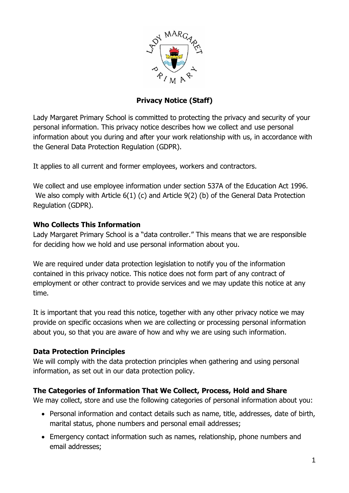

# **Privacy Notice (Staff)**

Lady Margaret Primary School is committed to protecting the privacy and security of your personal information. This privacy notice describes how we collect and use personal information about you during and after your work relationship with us, in accordance with the General Data Protection Regulation (GDPR).

It applies to all current and former employees, workers and contractors.

We collect and use employee information under section 537A of the Education Act 1996. We also comply with Article 6(1) (c) and Article 9(2) (b) of the General Data Protection Regulation (GDPR).

#### **Who Collects This Information**

Lady Margaret Primary School is a "data controller." This means that we are responsible for deciding how we hold and use personal information about you.

We are required under data protection legislation to notify you of the information contained in this privacy notice. This notice does not form part of any contract of employment or other contract to provide services and we may update this notice at any time.

It is important that you read this notice, together with any other privacy notice we may provide on specific occasions when we are collecting or processing personal information about you, so that you are aware of how and why we are using such information.

## **Data Protection Principles**

We will comply with the data protection principles when gathering and using personal information, as set out in our data protection policy.

## **The Categories of Information That We Collect, Process, Hold and Share**

We may collect, store and use the following categories of personal information about you:

- Personal information and contact details such as name, title, addresses, date of birth, marital status, phone numbers and personal email addresses;
- Emergency contact information such as names, relationship, phone numbers and email addresses;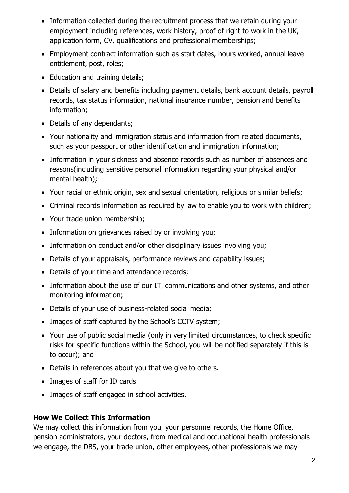- Information collected during the recruitment process that we retain during your employment including references, work history, proof of right to work in the UK, application form, CV, qualifications and professional memberships;
- Employment contract information such as start dates, hours worked, annual leave entitlement, post, roles;
- Education and training details;
- Details of salary and benefits including payment details, bank account details, payroll records, tax status information, national insurance number, pension and benefits information;
- Details of any dependants;
- Your nationality and immigration status and information from related documents, such as your passport or other identification and immigration information;
- Information in your sickness and absence records such as number of absences and reasons(including sensitive personal information regarding your physical and/or mental health);
- Your racial or ethnic origin, sex and sexual orientation, religious or similar beliefs;
- Criminal records information as required by law to enable you to work with children;
- Your trade union membership;
- Information on grievances raised by or involving you;
- Information on conduct and/or other disciplinary issues involving you;
- Details of your appraisals, performance reviews and capability issues;
- Details of your time and attendance records;
- Information about the use of our IT, communications and other systems, and other monitoring information;
- Details of your use of business-related social media;
- Images of staff captured by the School's CCTV system;
- Your use of public social media (only in very limited circumstances, to check specific risks for specific functions within the School, you will be notified separately if this is to occur); and
- Details in references about you that we give to others.
- Images of staff for ID cards
- Images of staff engaged in school activities.

## **How We Collect This Information**

We may collect this information from you, your personnel records, the Home Office, pension administrators, your doctors, from medical and occupational health professionals we engage, the DBS, your trade union, other employees, other professionals we may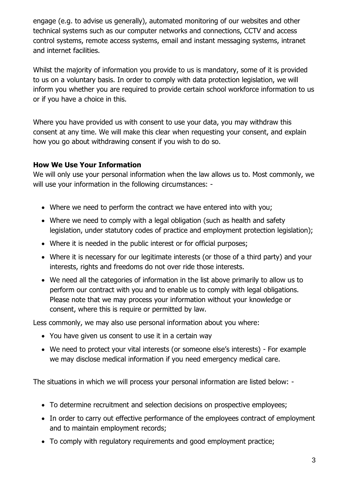engage (e.g. to advise us generally), automated monitoring of our websites and other technical systems such as our computer networks and connections, CCTV and access control systems, remote access systems, email and instant messaging systems, intranet and internet facilities.

Whilst the majority of information you provide to us is mandatory, some of it is provided to us on a voluntary basis. In order to comply with data protection legislation, we will inform you whether you are required to provide certain school workforce information to us or if you have a choice in this.

Where you have provided us with consent to use your data, you may withdraw this consent at any time. We will make this clear when requesting your consent, and explain how you go about withdrawing consent if you wish to do so.

#### **How We Use Your Information**

We will only use your personal information when the law allows us to. Most commonly, we will use your information in the following circumstances: -

- Where we need to perform the contract we have entered into with you;
- Where we need to comply with a legal obligation (such as health and safety legislation, under statutory codes of practice and employment protection legislation);
- Where it is needed in the public interest or for official purposes;
- Where it is necessary for our legitimate interests (or those of a third party) and your interests, rights and freedoms do not over ride those interests.
- We need all the categories of information in the list above primarily to allow us to perform our contract with you and to enable us to comply with legal obligations. Please note that we may process your information without your knowledge or consent, where this is require or permitted by law.

Less commonly, we may also use personal information about you where:

- You have given us consent to use it in a certain way
- We need to protect your vital interests (or someone else's interests) For example we may disclose medical information if you need emergency medical care.

The situations in which we will process your personal information are listed below: -

- To determine recruitment and selection decisions on prospective employees;
- In order to carry out effective performance of the employees contract of employment and to maintain employment records;
- To comply with regulatory requirements and good employment practice;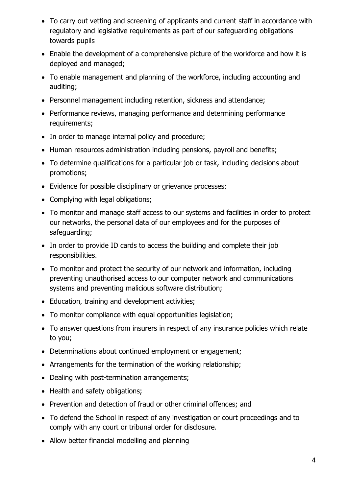- To carry out vetting and screening of applicants and current staff in accordance with regulatory and legislative requirements as part of our safeguarding obligations towards pupils
- Enable the development of a comprehensive picture of the workforce and how it is deployed and managed;
- To enable management and planning of the workforce, including accounting and auditing;
- Personnel management including retention, sickness and attendance;
- Performance reviews, managing performance and determining performance requirements;
- In order to manage internal policy and procedure;
- Human resources administration including pensions, payroll and benefits;
- To determine qualifications for a particular job or task, including decisions about promotions;
- Evidence for possible disciplinary or grievance processes;
- Complying with legal obligations;
- To monitor and manage staff access to our systems and facilities in order to protect our networks, the personal data of our employees and for the purposes of safeguarding;
- In order to provide ID cards to access the building and complete their job responsibilities.
- To monitor and protect the security of our network and information, including preventing unauthorised access to our computer network and communications systems and preventing malicious software distribution;
- Education, training and development activities;
- To monitor compliance with equal opportunities legislation;
- To answer questions from insurers in respect of any insurance policies which relate to you;
- Determinations about continued employment or engagement;
- Arrangements for the termination of the working relationship;
- Dealing with post-termination arrangements;
- Health and safety obligations;
- Prevention and detection of fraud or other criminal offences; and
- To defend the School in respect of any investigation or court proceedings and to comply with any court or tribunal order for disclosure.
- Allow better financial modelling and planning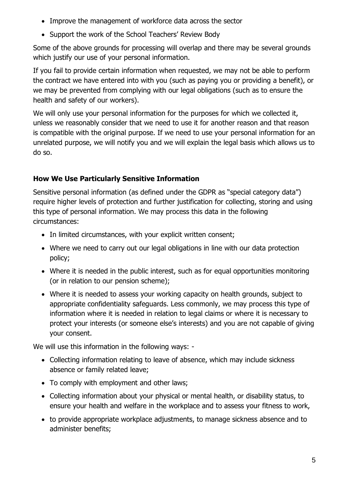- Improve the management of workforce data across the sector
- Support the work of the School Teachers' Review Body

Some of the above grounds for processing will overlap and there may be several grounds which justify our use of your personal information.

If you fail to provide certain information when requested, we may not be able to perform the contract we have entered into with you (such as paying you or providing a benefit), or we may be prevented from complying with our legal obligations (such as to ensure the health and safety of our workers).

We will only use your personal information for the purposes for which we collected it, unless we reasonably consider that we need to use it for another reason and that reason is compatible with the original purpose. If we need to use your personal information for an unrelated purpose, we will notify you and we will explain the legal basis which allows us to do so.

# **How We Use Particularly Sensitive Information**

Sensitive personal information (as defined under the GDPR as "special category data") require higher levels of protection and further justification for collecting, storing and using this type of personal information. We may process this data in the following circumstances:

- In limited circumstances, with your explicit written consent;
- Where we need to carry out our legal obligations in line with our data protection policy;
- Where it is needed in the public interest, such as for equal opportunities monitoring (or in relation to our pension scheme);
- Where it is needed to assess your working capacity on health grounds, subject to appropriate confidentiality safeguards. Less commonly, we may process this type of information where it is needed in relation to legal claims or where it is necessary to protect your interests (or someone else's interests) and you are not capable of giving your consent.

We will use this information in the following ways: -

- Collecting information relating to leave of absence, which may include sickness absence or family related leave;
- To comply with employment and other laws;
- Collecting information about your physical or mental health, or disability status, to ensure your health and welfare in the workplace and to assess your fitness to work,
- to provide appropriate workplace adjustments, to manage sickness absence and to administer benefits;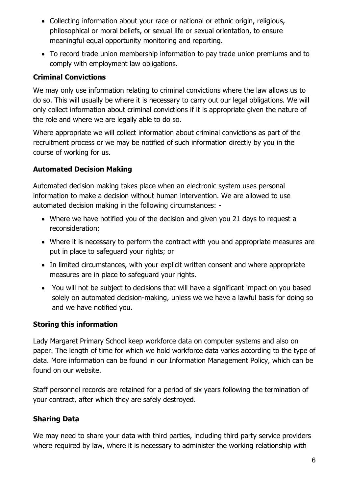- Collecting information about your race or national or ethnic origin, religious, philosophical or moral beliefs, or sexual life or sexual orientation, to ensure meaningful equal opportunity monitoring and reporting.
- To record trade union membership information to pay trade union premiums and to comply with employment law obligations.

# **Criminal Convictions**

We may only use information relating to criminal convictions where the law allows us to do so. This will usually be where it is necessary to carry out our legal obligations. We will only collect information about criminal convictions if it is appropriate given the nature of the role and where we are legally able to do so.

Where appropriate we will collect information about criminal convictions as part of the recruitment process or we may be notified of such information directly by you in the course of working for us.

## **Automated Decision Making**

Automated decision making takes place when an electronic system uses personal information to make a decision without human intervention. We are allowed to use automated decision making in the following circumstances: -

- Where we have notified you of the decision and given you 21 days to request a reconsideration;
- Where it is necessary to perform the contract with you and appropriate measures are put in place to safeguard your rights; or
- In limited circumstances, with your explicit written consent and where appropriate measures are in place to safeguard your rights.
- You will not be subject to decisions that will have a significant impact on you based solely on automated decision-making, unless we we have a lawful basis for doing so and we have notified you.

## **Storing this information**

Lady Margaret Primary School keep workforce data on computer systems and also on paper. The length of time for which we hold workforce data varies according to the type of data. More information can be found in our Information Management Policy, which can be found on our website.

Staff personnel records are retained for a period of six years following the termination of your contract, after which they are safely destroyed.

# **Sharing Data**

We may need to share your data with third parties, including third party service providers where required by law, where it is necessary to administer the working relationship with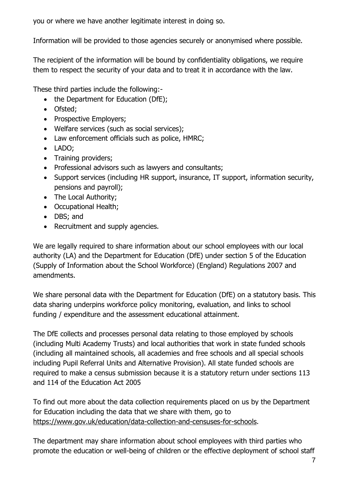you or where we have another legitimate interest in doing so.

Information will be provided to those agencies securely or anonymised where possible.

The recipient of the information will be bound by confidentiality obligations, we require them to respect the security of your data and to treat it in accordance with the law.

These third parties include the following:-

- the Department for Education (DfE);
- Ofsted;
- Prospective Employers:
- Welfare services (such as social services);
- Law enforcement officials such as police, HMRC;
- LADO;
- Training providers:
- Professional advisors such as lawyers and consultants;
- Support services (including HR support, insurance, IT support, information security, pensions and payroll);
- The Local Authority;
- Occupational Health;
- DBS; and
- Recruitment and supply agencies.

We are legally required to share information about our school employees with our local authority (LA) and the Department for Education (DfE) under section 5 of the Education (Supply of Information about the School Workforce) (England) Regulations 2007 and amendments.

We share personal data with the Department for Education (DfE) on a statutory basis. This data sharing underpins workforce policy monitoring, evaluation, and links to school funding / expenditure and the assessment educational attainment.

The DfE collects and processes personal data relating to those employed by schools (including Multi Academy Trusts) and local authorities that work in state funded schools (including all maintained schools, all academies and free schools and all special schools including Pupil Referral Units and Alternative Provision). All state funded schools are required to make a census submission because it is a statutory return under sections 113 and 114 of the Education Act 2005

To find out more about the data collection requirements placed on us by the Department for Education including the data that we share with them, go to [https://www.gov.uk/education/data-collection-and-censuses-for-schools.](https://www.gov.uk/education/data-collection-and-censuses-for-schools)

The department may share information about school employees with third parties who promote the education or well-being of children or the effective deployment of school staff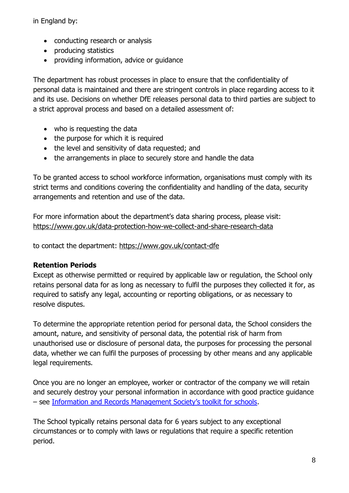in England by:

- conducting research or analysis
- producing statistics
- providing information, advice or guidance

The department has robust processes in place to ensure that the confidentiality of personal data is maintained and there are stringent controls in place regarding access to it and its use. Decisions on whether DfE releases personal data to third parties are subject to a strict approval process and based on a detailed assessment of:

- who is requesting the data
- the purpose for which it is required
- the level and sensitivity of data requested; and
- the arrangements in place to securely store and handle the data

To be granted access to school workforce information, organisations must comply with its strict terms and conditions covering the confidentiality and handling of the data, security arrangements and retention and use of the data.

For more information about the department's data sharing process, please visit: <https://www.gov.uk/data-protection-how-we-collect-and-share-research-data>

to contact the department:<https://www.gov.uk/contact-dfe>

## **Retention Periods**

Except as otherwise permitted or required by applicable law or regulation, the School only retains personal data for as long as necessary to fulfil the purposes they collected it for, as required to satisfy any legal, accounting or reporting obligations, or as necessary to resolve disputes.

To determine the appropriate retention period for personal data, the School considers the amount, nature, and sensitivity of personal data, the potential risk of harm from unauthorised use or disclosure of personal data, the purposes for processing the personal data, whether we can fulfil the purposes of processing by other means and any applicable legal requirements.

Once you are no longer an employee, worker or contractor of the company we will retain and securely destroy your personal information in accordance with good practice guidance – see [Information and Records Management Society's toolkit for schools](https://irms.org.uk/page/schoolstoolkit?&%3bterms=%22toolkit%2band%2bschools%22).

The School typically retains personal data for 6 years subject to any exceptional circumstances or to comply with laws or regulations that require a specific retention period.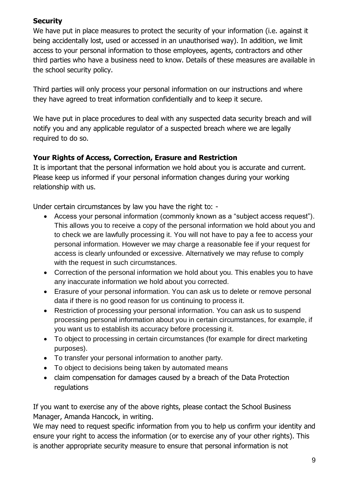#### **Security**

We have put in place measures to protect the security of your information (i.e. against it being accidentally lost, used or accessed in an unauthorised way). In addition, we limit access to your personal information to those employees, agents, contractors and other third parties who have a business need to know. Details of these measures are available in the school security policy.

Third parties will only process your personal information on our instructions and where they have agreed to treat information confidentially and to keep it secure.

We have put in place procedures to deal with any suspected data security breach and will notify you and any applicable regulator of a suspected breach where we are legally required to do so.

# **Your Rights of Access, Correction, Erasure and Restriction**

It is important that the personal information we hold about you is accurate and current. Please keep us informed if your personal information changes during your working relationship with us.

Under certain circumstances by law you have the right to: -

- Access your personal information (commonly known as a "subject access request"). This allows you to receive a copy of the personal information we hold about you and to check we are lawfully processing it. You will not have to pay a fee to access your personal information. However we may charge a reasonable fee if your request for access is clearly unfounded or excessive. Alternatively we may refuse to comply with the request in such circumstances.
- Correction of the personal information we hold about you. This enables you to have any inaccurate information we hold about you corrected.
- Erasure of your personal information. You can ask us to delete or remove personal data if there is no good reason for us continuing to process it.
- Restriction of processing your personal information. You can ask us to suspend processing personal information about you in certain circumstances, for example, if you want us to establish its accuracy before processing it.
- To object to processing in certain circumstances (for example for direct marketing purposes).
- To transfer your personal information to another party.
- To object to decisions being taken by automated means
- claim compensation for damages caused by a breach of the Data Protection regulations

If you want to exercise any of the above rights, please contact the School Business Manager, Amanda Hancock, in writing.

We may need to request specific information from you to help us confirm your identity and ensure your right to access the information (or to exercise any of your other rights). This is another appropriate security measure to ensure that personal information is not